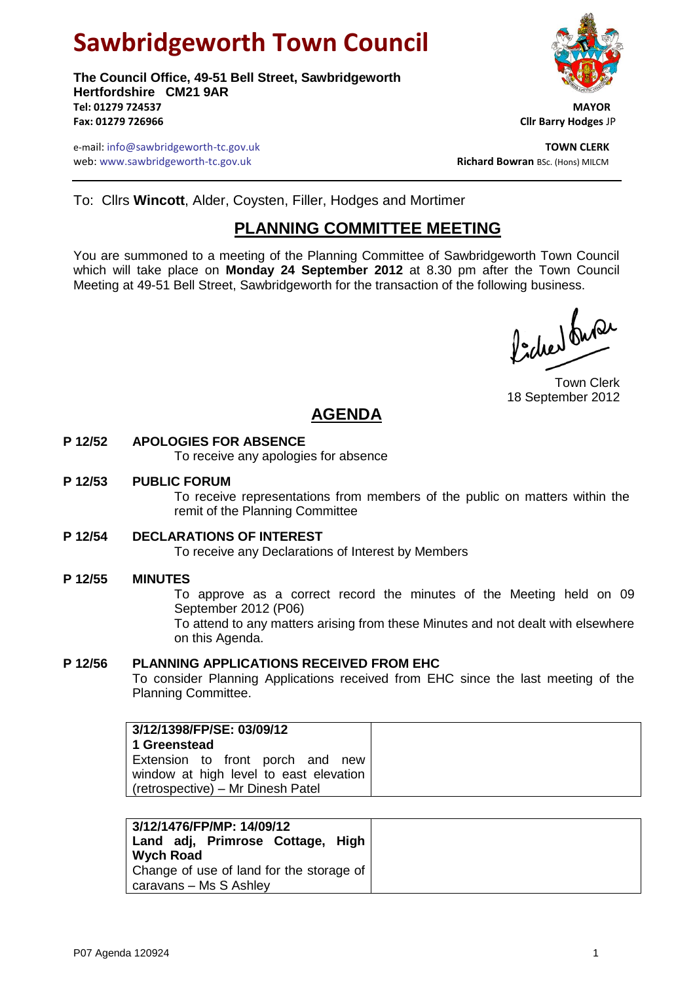# **Sawbridgeworth Town Council**

**The Council Office, 49-51 Bell Street, Sawbridgeworth Hertfordshire CM21 9AR Tel: 01279 724537 MAYOR Fax: 01279 726966 Cllr Barry Hodges** JP



e-mail: info@sawbridgeworth-tc.gov.uk **TOWN CLERK** web: www.sawbridgeworth-tc.gov.uk<br> **Richard Bowran** BSc. (Hons) MILCM

To: Cllrs **Wincott**, Alder, Coysten, Filler, Hodges and Mortimer

## **PLANNING COMMITTEE MEETING**

You are summoned to a meeting of the Planning Committee of Sawbridgeworth Town Council which will take place on **Monday 24 September 2012** at 8.30 pm after the Town Council Meeting at 49-51 Bell Street, Sawbridgeworth for the transaction of the following business.

fidee buse

Town Clerk 18 September 2012

## **AGENDA**

#### **P 12/52 APOLOGIES FOR ABSENCE**

To receive any apologies for absence

#### **P 12/53 PUBLIC FORUM**

To receive representations from members of the public on matters within the remit of the Planning Committee

#### **P 12/54 DECLARATIONS OF INTEREST**

To receive any Declarations of Interest by Members

#### **P 12/55 MINUTES**

To approve as a correct record the minutes of the Meeting held on 09 September 2012 (P06)

To attend to any matters arising from these Minutes and not dealt with elsewhere on this Agenda.

#### **P 12/56 PLANNING APPLICATIONS RECEIVED FROM EHC**

To consider Planning Applications received from EHC since the last meeting of the Planning Committee.

| 3/12/1398/FP/SE: 03/09/12<br>1 Greenstead                                                                       |  |  |
|-----------------------------------------------------------------------------------------------------------------|--|--|
| Extension to front porch and new<br>window at high level to east elevation<br>(retrospective) – Mr Dinesh Patel |  |  |

| 3/12/1476/FP/MP: 14/09/12<br>Land adj, Primrose Cottage, High<br><b>Wych Road</b> |
|-----------------------------------------------------------------------------------|
| Change of use of land for the storage of<br>caravans - Ms S Ashley                |